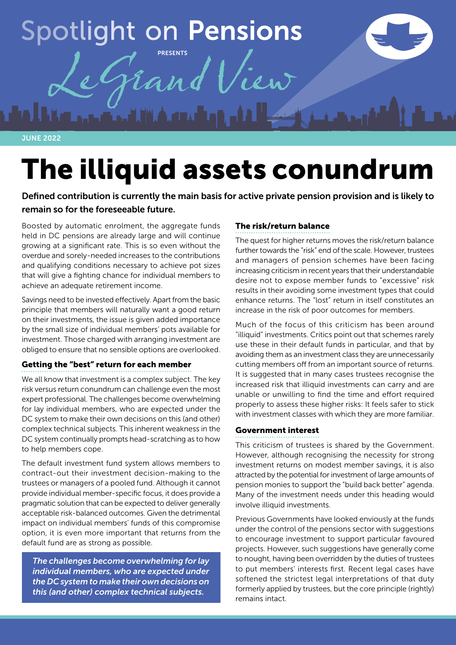# **Spotlight on Pensions** PRESENTS

JUNE 2022

# The illiquid assets conundrum

Defined contribution is currently the main basis for active private pension provision and is likely to remain so for the foreseeable future.

Boosted by automatic enrolment, the aggregate funds held in DC pensions are already large and will continue growing at a significant rate. This is so even without the overdue and sorely-needed increases to the contributions and qualifying conditions necessary to achieve pot sizes that will give a fighting chance for individual members to achieve an adequate retirement income.

Savings need to be invested effectively. Apart from the basic principle that members will naturally want a good return on their investments, the issue is given added importance by the small size of individual members' pots available for investment. Those charged with arranging investment are obliged to ensure that no sensible options are overlooked.

### Getting the "best" return for each member

We all know that investment is a complex subject. The key risk versus return conundrum can challenge even the most expert professional. The challenges become overwhelming for lay individual members, who are expected under the DC system to make their own decisions on this (and other) complex technical subjects. This inherent weakness in the DC system continually prompts head-scratching as to how to help members cope.

The default investment fund system allows members to contract-out their investment decision-making to the trustees or managers of a pooled fund. Although it cannot provide individual member-specific focus, it does provide a pragmatic solution that can be expected to deliver generally acceptable risk-balanced outcomes. Given the detrimental impact on individual members' funds of this compromise option, it is even more important that returns from the default fund are as strong as possible.

*The challenges become overwhelming for lay individual members, who are expected under the DC system to make their own decisions on this (and other) complex technical subjects.*

## The risk/return balance

The quest for higher returns moves the risk/return balance further towards the "risk" end of the scale. However, trustees and managers of pension schemes have been facing increasing criticism in recent years that their understandable desire not to expose member funds to "excessive" risk results in their avoiding some investment types that could enhance returns. The "lost" return in itself constitutes an increase in the risk of poor outcomes for members.

Much of the focus of this criticism has been around "illiquid" investments. Critics point out that schemes rarely use these in their default funds in particular, and that by avoiding them as an investment class they are unnecessarily cutting members off from an important source of returns. It is suggested that in many cases trustees recognise the increased risk that illiquid investments can carry and are unable or unwilling to find the time and effort required properly to assess these higher risks: It feels safer to stick with investment classes with which they are more familiar.

#### Government interest

This criticism of trustees is shared by the Government. However, although recognising the necessity for strong investment returns on modest member savings, it is also attracted by the potential for investment of large amounts of pension monies to support the "build back better" agenda. Many of the investment needs under this heading would involve illiquid investments.

Previous Governments have looked enviously at the funds under the control of the pensions sector with suggestions to encourage investment to support particular favoured projects. However, such suggestions have generally come to nought, having been overridden by the duties of trustees to put members' interests first. Recent legal cases have softened the strictest legal interpretations of that duty formerly applied by trustees, but the core principle (rightly) remains intact.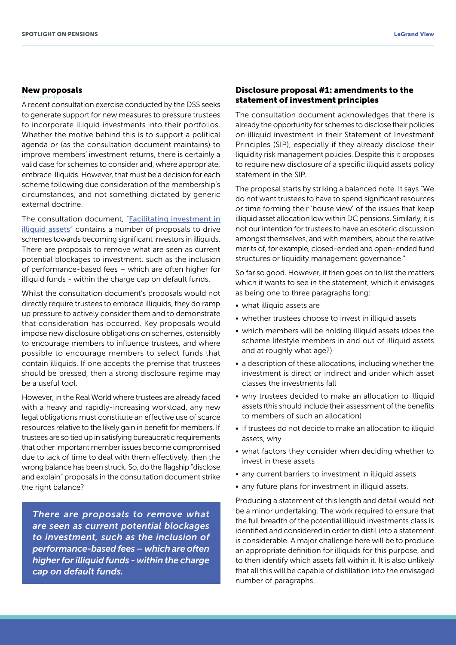#### New proposals

A recent consultation exercise conducted by the DSS seeks to generate support for new measures to pressure trustees to incorporate illiquid investments into their portfolios. Whether the motive behind this is to support a political agenda or (as the consultation document maintains) to improve members' investment returns, there is certainly a valid case for schemes to consider and, where appropriate, embrace illiquids. However, that must be a decision for each scheme following due consideration of the membership's circumstances, and not something dictated by generic external doctrine.

The consultation document, "Facilitating investment in [illiquid assets](https://www.gov.uk/government/consultations/facilitating-investment-in-illiquid-assets-by-defined-contribution-pension-schemes/facilitating-investment-in-illiquid-assets)" contains a number of proposals to drive schemes towards becoming significant investors in illiquids. There are proposals to remove what are seen as current potential blockages to investment, such as the inclusion of performance-based fees – which are often higher for illiquid funds - within the charge cap on default funds.

Whilst the consultation document's proposals would not directly require trustees to embrace illiquids, they do ramp up pressure to actively consider them and to demonstrate that consideration has occurred. Key proposals would impose new disclosure obligations on schemes, ostensibly to encourage members to influence trustees, and where possible to encourage members to select funds that contain illiquids. If one accepts the premise that trustees should be pressed, then a strong disclosure regime may be a useful tool.

However, in the Real World where trustees are already faced with a heavy and rapidly-increasing workload, any new legal obligations must constitute an effective use of scarce resources relative to the likely gain in benefit for members. If trustees are so tied up in satisfying bureaucratic requirements that other important member issues become compromised due to lack of time to deal with them effectively, then the wrong balance has been struck. So, do the flagship "disclose and explain" proposals in the consultation document strike the right balance?

*There are proposals to remove what are seen as current potential blockages to investment, such as the inclusion of performance-based fees – which are often higher for illiquid funds - within the charge cap on default funds.* 

#### Disclosure proposal #1: amendments to the statement of investment principles

The consultation document acknowledges that there is already the opportunity for schemes to disclose their policies on illiquid investment in their Statement of Investment Principles (SIP), especially if they already disclose their liquidity risk management policies. Despite this it proposes to require new disclosure of a specific illiquid assets policy statement in the SIP.

The proposal starts by striking a balanced note. It says "We do not want trustees to have to spend significant resources or time forming their 'house view' of the issues that keep illiquid asset allocation low within DC pensions. Similarly, it is not our intention for trustees to have an esoteric discussion amongst themselves, and with members, about the relative merits of, for example, closed-ended and open-ended fund structures or liquidity management governance."

So far so good. However, it then goes on to list the matters which it wants to see in the statement, which it envisages as being one to three paragraphs long:

- what illiquid assets are
- whether trustees choose to invest in illiquid assets
- which members will be holding illiquid assets (does the scheme lifestyle members in and out of illiquid assets and at roughly what age?)
- a description of these allocations, including whether the investment is direct or indirect and under which asset classes the investments fall
- why trustees decided to make an allocation to illiquid assets (this should include their assessment of the benefits to members of such an allocation)
- If trustees do not decide to make an allocation to illiquid assets, why
- what factors they consider when deciding whether to invest in these assets
- any current barriers to investment in illiquid assets
- any future plans for investment in illiquid assets.

Producing a statement of this length and detail would not be a minor undertaking. The work required to ensure that the full breadth of the potential illiquid investments class is identified and considered in order to distil into a statement is considerable. A major challenge here will be to produce an appropriate definition for illiquids for this purpose, and to then identify which assets fall within it. It is also unlikely that all this will be capable of distillation into the envisaged number of paragraphs.